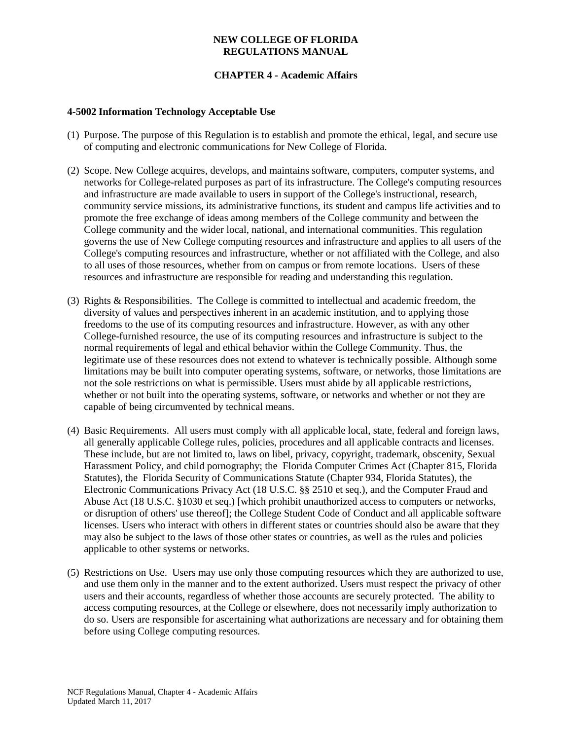# **CHAPTER 4 - Academic Affairs**

## **4-5002 Information Technology Acceptable Use**

- (1) Purpose. The purpose of this Regulation is to establish and promote the ethical, legal, and secure use of computing and electronic communications for New College of Florida.
- (2) Scope. New College acquires, develops, and maintains software, computers, computer systems, and networks for College-related purposes as part of its infrastructure. The College's computing resources and infrastructure are made available to users in support of the College's instructional, research, community service missions, its administrative functions, its student and campus life activities and to promote the free exchange of ideas among members of the College community and between the College community and the wider local, national, and international communities. This regulation governs the use of New College computing resources and infrastructure and applies to all users of the College's computing resources and infrastructure, whether or not affiliated with the College, and also to all uses of those resources, whether from on campus or from remote locations. Users of these resources and infrastructure are responsible for reading and understanding this regulation.
- (3) Rights & Responsibilities. The College is committed to intellectual and academic freedom, the diversity of values and perspectives inherent in an academic institution, and to applying those freedoms to the use of its computing resources and infrastructure. However, as with any other College-furnished resource, the use of its computing resources and infrastructure is subject to the normal requirements of legal and ethical behavior within the College Community. Thus, the legitimate use of these resources does not extend to whatever is technically possible. Although some limitations may be built into computer operating systems, software, or networks, those limitations are not the sole restrictions on what is permissible. Users must abide by all applicable restrictions, whether or not built into the operating systems, software, or networks and whether or not they are capable of being circumvented by technical means.
- (4) Basic Requirements. All users must comply with all applicable local, state, federal and foreign laws, all generally applicable College rules, policies, procedures and all applicable contracts and licenses. These include, but are not limited to, laws on libel, privacy, [copyright,](http://lcweb.loc.gov/copyright/) [trademark,](http://www.uspto.gov/main/trademarks.htm) obscenity, [Sexual](http://www.admin.ufl.edu/ddd/dd96-97/96DD070A.htm)  [Harassment Policy,](http://www.admin.ufl.edu/ddd/dd96-97/96DD070A.htm) and child pornography; the [Florida Computer Crimes Act \(Chapter 815, Florida](http://www.leg.state.fl.us/citizen/documents/statutes/1998/ch0815/titl0815.htm)  [Statutes\), t](http://www.leg.state.fl.us/citizen/documents/statutes/1998/ch0815/titl0815.htm)he [Florida Security of Communications Statute \(Chapter 934, Florida Statutes\),](http://www.leg.state.fl.us/citizen/documents/statutes/1998/ch0934/titl0934.htm) the [Electronic Communications Privacy Act \(18 U.S.C. §§ 2510 et seq.\),](http://www.law.cornell.edu/uscode/18/ch119.html) and the [Computer Fraud and](http://www.law.cornell.edu/uscode/18/1030.html)  [Abuse Act \(18 U.S.C. §1030 et seq.\)](http://www.law.cornell.edu/uscode/18/1030.html) [which prohibit unauthorized access to computers or networks, or disruption of others' use thereof]; the College Student Code of Conduct and all applicable software licenses. Users who interact with others in different states or countries should also be aware that they may also be subject to the laws of those other states or countries, as well as the rules and policies applicable to other systems or networks.
- (5) Restrictions on Use. Users may use only those computing resources which they are authorized to use, and use them only in the manner and to the extent authorized. Users must respect the privacy of other users and their accounts, regardless of whether those accounts are securely protected. The ability to access computing resources, at the College or elsewhere, does not necessarily imply authorization to do so. Users are responsible for ascertaining what authorizations are necessary and for obtaining them before using College computing resources.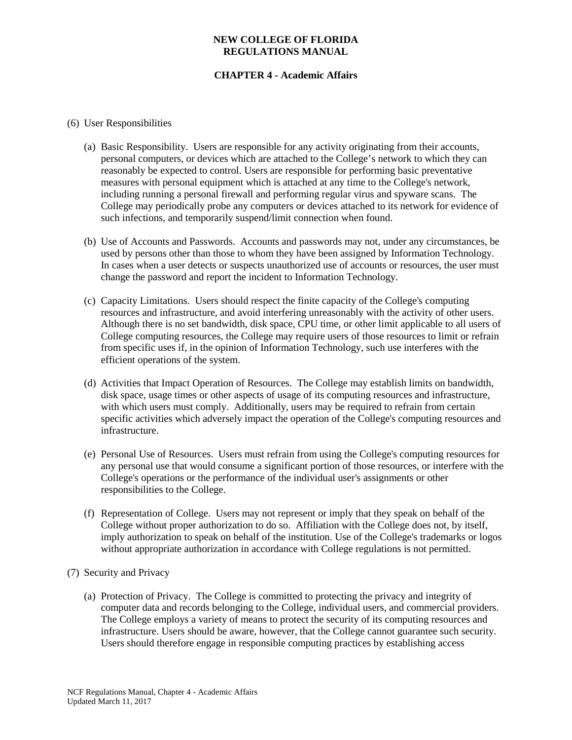# **CHAPTER 4 - Academic Affairs**

### (6) User Responsibilities

- (a) Basic Responsibility. Users are responsible for any activity originating from their accounts, personal computers, or devices which are attached to the College's network to which they can reasonably be expected to control. Users are responsible for performing basic preventative measures with personal equipment which is attached at any time to the College's network, including running a personal firewall and performing regular virus and spyware scans. The College may periodically probe any computers or devices attached to its network for evidence of such infections, and temporarily suspend/limit connection when found.
- (b) Use of Accounts and Passwords. Accounts and passwords may not, under any circumstances, be used by persons other than those to whom they have been assigned by Information Technology. In cases when a user detects or suspects unauthorized use of accounts or resources, the user must change the password and report the incident to Information Technology.
- (c) Capacity Limitations. Users should respect the finite capacity of the College's computing resources and infrastructure, and avoid interfering unreasonably with the activity of other users. Although there is no set bandwidth, disk space, CPU time, or other limit applicable to all users of College computing resources, the College may require users of those resources to limit or refrain from specific uses if, in the opinion of Information Technology, such use interferes with the efficient operations of the system.
- (d) Activities that Impact Operation of Resources. The College may establish limits on bandwidth, disk space, usage times or other aspects of usage of its computing resources and infrastructure, with which users must comply. Additionally, users may be required to refrain from certain specific activities which adversely impact the operation of the College's computing resources and infrastructure.
- (e) Personal Use of Resources. Users must refrain from using the College's computing resources for any personal use that would consume a significant portion of those resources, or interfere with the College's operations or the performance of the individual user's assignments or other responsibilities to the College.
- (f) Representation of College. Users may not represent or imply that they speak on behalf of the College without proper authorization to do so. Affiliation with the College does not, by itself, imply authorization to speak on behalf of the institution. Use of the College's trademarks or logos without appropriate authorization in accordance with College regulations is not permitted.
- (7) Security and Privacy
	- (a) Protection of Privacy. The College is committed to protecting the privacy and integrity of computer data and records belonging to the College, individual users, and commercial providers. The College employs a variety of means to protect the security of its computing resources and infrastructure. Users should be aware, however, that the College cannot guarantee such security. Users should therefore engage in responsible computing practices by establishing access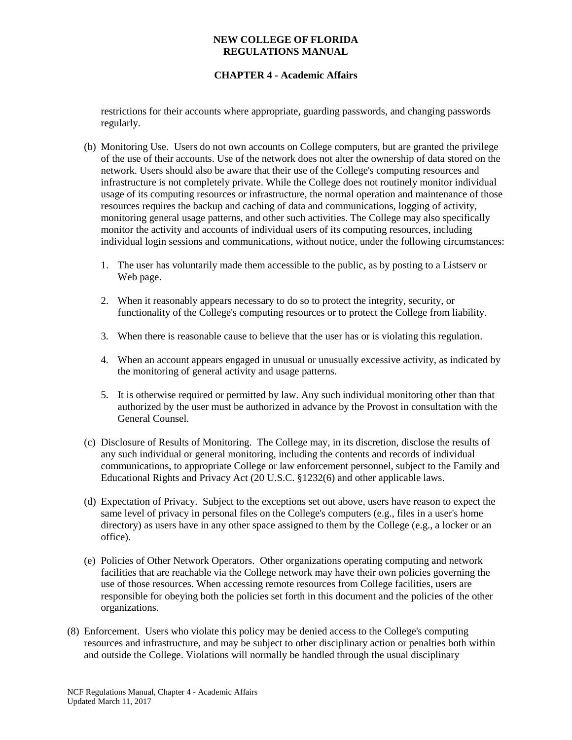# **CHAPTER 4 - Academic Affairs**

restrictions for their accounts where appropriate, guarding passwords, and changing passwords regularly.

- (b) Monitoring Use. Users do not own accounts on College computers, but are granted the privilege of the use of their accounts. Use of the network does not alter the ownership of data stored on the network. Users should also be aware that their use of the College's computing resources and infrastructure is not completely private. While the College does not routinely monitor individual usage of its computing resources or infrastructure, the normal operation and maintenance of those resources requires the backup and caching of data and communications, logging of activity, monitoring general usage patterns, and other such activities. The College may also specifically monitor the activity and accounts of individual users of its computing resources, including individual login sessions and communications, without notice, under the following circumstances:
	- 1. The user has voluntarily made them accessible to the public, as by posting to a Listserv or Web page.
	- 2. When it reasonably appears necessary to do so to protect the integrity, security, or functionality of the College's computing resources or to protect the College from liability.
	- 3. When there is reasonable cause to believe that the user has or is violating this regulation.
	- 4. When an account appears engaged in unusual or unusually excessive activity, as indicated by the monitoring of general activity and usage patterns.
	- 5. It is otherwise required or permitted by law. Any such individual monitoring other than that authorized by the user must be authorized in advance by the Provost in consultation with the General Counsel.
- (c) Disclosure of Results of Monitoring. The College may, in its discretion, disclose the results of any such individual or general monitoring, including the contents and records of individual communications, to appropriate College or law enforcement personnel, subject to the Family and Educational Rights and Privacy Act (20 U.S.C. §1232(6) and other applicable laws.
- (d) Expectation of Privacy. Subject to the exceptions set out above, users have reason to expect the same level of privacy in personal files on the College's computers (e.g., files in a user's home directory) as users have in any other space assigned to them by the College (e.g., a locker or an office).
- (e) Policies of Other Network Operators. Other organizations operating computing and network facilities that are reachable via the College network may have their own policies governing the use of those resources. When accessing remote resources from College facilities, users are responsible for obeying both the policies set forth in this document and the policies of the other organizations.
- (8) Enforcement. Users who violate this policy may be denied access to the College's computing resources and infrastructure, and may be subject to other disciplinary action or penalties both within and outside the College. Violations will normally be handled through the usual disciplinary